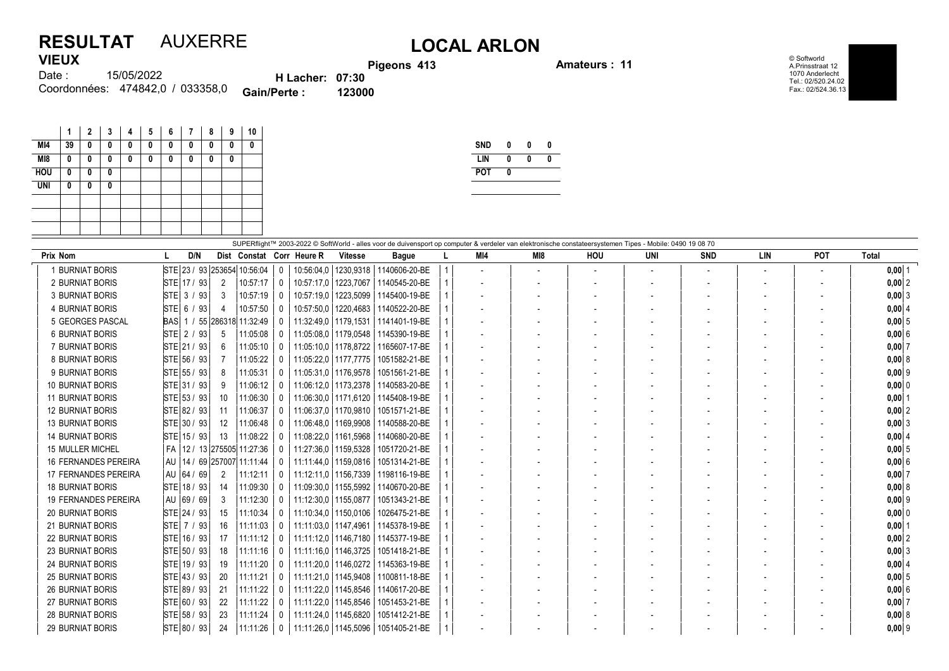## RESULTAT AUXERRE LOCAL ARLON VIEUX

external property in the Amateurs : 11

© Softworld A.Prinsstraat 12 1070 Anderlecht Tel.: 02/520.24.02 Fax.: 02/524.36.13

| 1169W  |                                  |                        | <b>Pigeo</b> |
|--------|----------------------------------|------------------------|--------------|
| Date : | 15/05/2022                       | <b>H</b> Lacher: 07:30 |              |
|        | Coordonnées: 474842,0 / 033358,0 | <b>Gain/Perte:</b>     | 123000       |

|            | 1  | $\mathbf{2}$ | 3 | 4 | 5 | 6 | 7 | 8 | 9 | 10                        |
|------------|----|--------------|---|---|---|---|---|---|---|---------------------------|
| MI4        | 39 | 0            | 0 | 0 | 0 | 0 | 0 | 0 | 0 | 0                         |
| MI8        | 0  | 0            | 0 | 0 | 0 | 0 | 0 | 0 | 0 |                           |
| <b>HOU</b> | 0  | 0            | 0 |   |   |   |   |   |   |                           |
| <b>UNI</b> | 0  | 0            | 0 |   |   |   |   |   |   |                           |
|            |    |              |   |   |   |   |   |   |   |                           |
|            |    |              |   |   |   |   |   |   |   |                           |
|            |    |              |   |   |   |   |   |   |   |                           |
|            |    |              |   |   |   |   |   |   |   | SLIPERflight <sup>1</sup> |

| <b>SND</b> | 0 | 0 | 0 |
|------------|---|---|---|
| LIN        | 0 | Λ | N |
| <b>POT</b> | Λ |   |   |
|            |   |   |   |

| Prix Nom                    | D/N                               | Dist Constat Corr Heure R |                |                        | <b>Vitesse</b> | SUPERflight™ 2003-2022 © SoftWorld - alles voor de duivensport op computer & verdeler van elektronische constateersystemen Tipes - Mobile: 0490 19 08 70<br><b>Bague</b> | MI4 | MI8 | HOU | UNI | <b>SND</b> | <b>LIN</b> | POT | <b>Total</b> |
|-----------------------------|-----------------------------------|---------------------------|----------------|------------------------|----------------|--------------------------------------------------------------------------------------------------------------------------------------------------------------------------|-----|-----|-----|-----|------------|------------|-----|--------------|
| 1 BURNIAT BORIS             | STE 23 / 93 253654 10:56:04       |                           |                | 10:56:04.0             | 1230.9318      | 1140606-20-BE                                                                                                                                                            |     |     |     |     |            |            |     | $0,00$  1    |
| 2 BURNIAT BORIS             |                                   |                           | 0              |                        |                |                                                                                                                                                                          |     |     |     |     |            |            |     |              |
|                             | STE 17 / 93<br>2                  | 10:57:17                  | $\mathbf{0}$   | 10:57:17.0             | 1223,7067      | 1140545-20-BE                                                                                                                                                            |     |     |     |     |            |            |     | $0,00$ 2     |
| 3 BURNIAT BORIS             | STE 3 / 93<br>3                   | 10:57:19                  |                | 10:57:19.0             | 1223,5099      | 1145400-19-BE                                                                                                                                                            |     |     |     |     |            |            |     | $0,00$ 3     |
| 4 BURNIAT BORIS             | STE 6 / 93<br>4                   | 10:57:50                  | $\bf{0}$       | 10:57:50.0             | 1220,4683      | 1140522-20-BE                                                                                                                                                            |     |     |     |     |            |            |     | 0,00   4     |
| 5 GEORGES PASCAL            | BAS 1 / 55 286318 11:32:49        |                           | $\mathbf{0}$   | 11:32:49.0   1179.1531 |                | 1141401-19-BE                                                                                                                                                            |     |     |     |     |            |            |     | $0,00$ 5     |
| <b>6 BURNIAT BORIS</b>      | STE 2 / 93<br>.5                  | 11:05:08                  | $\Omega$       | 11:05:08.0   1179.0548 |                | 1145390-19-BE                                                                                                                                                            |     |     |     |     |            |            |     | 0,006        |
| 7 BURNIAT BORIS             | STE 21 / 93<br>6                  | 11:05:10                  | $\mathbf{0}$   | 11:05:10.0   1178.8722 |                | 1165607-17-BE                                                                                                                                                            |     |     |     |     |            |            |     | $0,00$ 7     |
| 8 BURNIAT BORIS             | STE 56 / 93                       | 11:05:22                  | $\mathbf{0}$   | 11:05:22.0   1177.7775 |                | 1051582-21-BE                                                                                                                                                            |     |     |     |     |            |            |     | 0,008        |
| 9 BURNIAT BORIS             | STE 55 / 93<br>8                  | 11:05:31                  | $^{\circ}$     | 11:05:31.0   1176.9578 |                | 1051561-21-BE                                                                                                                                                            |     |     |     |     |            |            |     | $0,00$  9    |
| <b>10 BURNIAT BORIS</b>     | STE 31 / 93<br>9                  | 11:06:12                  | $\mathbf{0}$   | 11:06:12,0   1173,2378 |                | 1140583-20-BE                                                                                                                                                            |     |     |     |     |            |            |     | $0,00$ 0     |
| <b>11 BURNIAT BORIS</b>     | STE 53 / 93<br>10                 | 11:06:30                  | $\mathbf{0}$   | 11:06:30.0   1171.6120 |                | 1145408-19-BE                                                                                                                                                            |     |     |     |     |            |            |     | $0,00$  1    |
| <b>12 BURNIAT BORIS</b>     | STE 82 / 93<br>11                 | 11:06:37                  | $^{\circ}$     | 11.06.37.0   1170.9810 |                | 1051571-21-BE                                                                                                                                                            |     |     |     |     |            |            |     | $0,00$  2    |
| <b>13 BURNIAT BORIS</b>     | STE 30 / 93<br>$12^{\circ}$       | 11:06:48                  | $\bf{0}$       | 11:06:48.0   1169.9908 |                | 1140588-20-BE                                                                                                                                                            |     |     |     |     |            |            |     | 0,003        |
| <b>14 BURNIAT BORIS</b>     | STE 15 / 93<br>13                 | 11:08:22                  | 0              | 11:08:22.0             | 1161,5968      | 1140680-20-BE                                                                                                                                                            |     |     |     |     |            |            |     | 0.0014       |
| <b>15 MULLER MICHEL</b>     | FA   12 / 13 275505 11:27:36      |                           | 0              | 11:27:36,0   1159,5328 |                | 1051720-21-BE                                                                                                                                                            |     |     |     |     |            |            |     | $0,00$ 5     |
| <b>16 FERNANDES PEREIRA</b> | AU   14 / 69   257007    11:11:44 |                           | $\mathbf{0}$   | 11:11:44.0   1159.0816 |                | 1051314-21-BE                                                                                                                                                            |     |     |     |     |            |            |     | 0,006        |
| 17 FERNANDES PEREIRA        | AU  64 / 69  <br>2                | 11:12:11                  | $\mathbf{0}$   | 11:12:11.0   1156.7339 |                | 1198116-19-BE                                                                                                                                                            |     |     |     |     |            |            |     | $0,00$ 7     |
| <b>18 BURNIAT BORIS</b>     | STE 18 / 93<br>14                 | 11:09:30                  | $\mathbf{0}$   | 11:09:30.0   1155.5992 |                | 1140670-20-BE                                                                                                                                                            |     |     |     |     |            |            |     | 0,00   8     |
| <b>19 FERNANDES PEREIRA</b> | AU  69 / 69  <br>3                | 11:12:30                  | $\mathbf{0}$   | 11:12:30.0   1155.0877 |                | 1051343-21-BE                                                                                                                                                            |     |     |     |     |            |            |     | $0,00$ 9     |
| <b>20 BURNIAT BORIS</b>     | STE 24 / 93<br>15                 | 11:10:34                  | $\Omega$       | 11:10:34,0   1150,0106 |                | 1026475-21-BE                                                                                                                                                            |     |     |     |     |            |            |     | 0,00 0       |
| <b>21 BURNIAT BORIS</b>     | STE 7 / 93<br>16                  | 11:11:03                  | $\mathbf 0$    | 11:11:03.0   1147.4961 |                | 1145378-19-BE                                                                                                                                                            |     |     |     |     |            |            |     | $0,00$   1   |
| <b>22 BURNIAT BORIS</b>     | STE 16 / 93<br>17                 | 11:11:12                  | $\mathbf{0}$   |                        |                | 11:11:12.0   1146.7180   1145377-19-BE                                                                                                                                   |     |     |     |     |            |            |     | $0,00$ 2     |
| <b>23 BURNIAT BORIS</b>     | STE 50 / 93<br>18                 | 11:11:16                  | $\mathbf{0}$   | 11:11:16.0   1146.3725 |                | 1051418-21-BE                                                                                                                                                            |     |     |     |     |            |            |     | $0,00$ 3     |
| <b>24 BURNIAT BORIS</b>     | STE 19 / 93<br>19                 | 11:11:20                  | $\mathbf{0}$   | 11:11:20.0   1146.0272 |                | 1145363-19-BE                                                                                                                                                            |     |     |     |     |            |            |     | $0,00$ 4     |
| <b>25 BURNIAT BORIS</b>     | STE 43 / 93<br>20                 | 11:11:21                  | $\mathbf{0}$   | 11:11:21.0   1145.9408 |                | 1100811-18-BE                                                                                                                                                            |     |     |     |     |            |            |     | $0,00$ 5     |
| <b>26 BURNIAT BORIS</b>     | STE 89 / 93<br>21                 | 11:11:22                  | $\Omega$       | 11:11:22,0   1145,8546 |                | 1140617-20-BE                                                                                                                                                            |     |     |     |     |            |            |     | 0,006        |
| <b>27 BURNIAT BORIS</b>     | STE 60 / 93<br>22                 | 11:11:22                  | $\mathbf 0$    | 11:11:22,0   1145,8546 |                | 1051453-21-BE                                                                                                                                                            |     |     |     |     |            |            |     | $0,00$ 7     |
| <b>28 BURNIAT BORIS</b>     | STE 58 / 93<br>23                 | 11:11:24                  | $\mathbf 0$    | 11:11:24.0   1145.6820 |                | 1051412-21-BE                                                                                                                                                            |     |     |     |     |            |            |     | 0,00   8     |
| <b>29 BURNIAT BORIS</b>     | STE 80/93 <br>24                  | 11:11:26                  | $\overline{0}$ | 11:11:26,0   1145,5096 |                | 1051405-21-BE                                                                                                                                                            |     |     |     |     |            |            |     | $0,00$ 9     |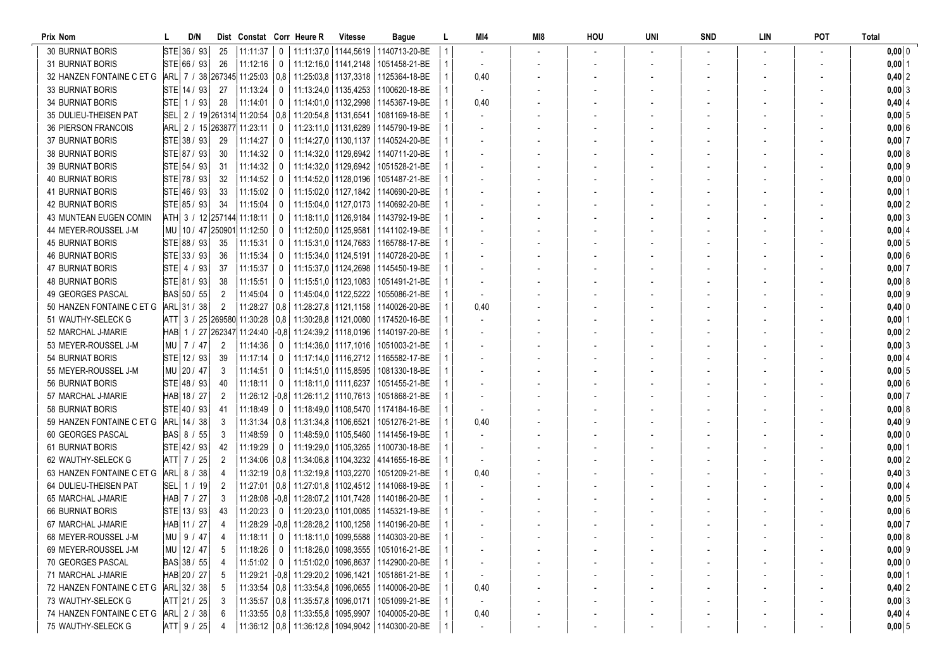| Prix Nom                   |              | D/N |                |                                |                | Dist Constat Corr Heure R                                   | <b>Vitesse</b>         | Bague                                                   |                | MI4                      | MI8 | HOU | UNI | <b>SND</b> | LIN | POT | Total         |
|----------------------------|--------------|-----|----------------|--------------------------------|----------------|-------------------------------------------------------------|------------------------|---------------------------------------------------------|----------------|--------------------------|-----|-----|-----|------------|-----|-----|---------------|
| <b>30 BURNIAT BORIS</b>    | STE 36 / 93  |     | 25             | 11:11:37                       | $\overline{0}$ |                                                             |                        | 11:11:37.0   1144.5619   1140713-20-BE                  |                |                          |     |     |     |            |     |     | $0,00$ 0      |
| <b>31 BURNIAT BORIS</b>    | STE 66 / 93  |     | 26             | 11:12:16                       | $\mathbf 0$    | 11:12:16,0   1141,2148                                      |                        | 1051458-21-BE                                           |                |                          |     |     |     |            |     |     | $0,00$ 1      |
| 32 HANZEN FONTAINE C ET G  |              |     |                |                                |                | ARL   7 / 38 267345 11:25:03   0,8   11:25:03,8   1137,3318 |                        | 1125364-18-BE                                           |                | 0,40                     |     |     |     |            |     |     | $0,40$ 2      |
| <b>33 BURNIAT BORIS</b>    | STE 14 / 93  |     | 27             | 11:13:24                       | $\mathbf 0$    |                                                             | 11:13:24,0   1135,4253 | 1100620-18-BE                                           |                | $\overline{\phantom{a}}$ |     |     |     |            |     |     | 0,00 3        |
| <b>34 BURNIAT BORIS</b>    | $STE$ 1 / 93 |     | -28            | 11:14:01                       | $\mathbf{0}$   | 11:14:01,0   1132,2998                                      |                        | 1145367-19-BE                                           |                | 0,40                     |     |     |     |            |     |     | $0,40$ 4      |
| 35 DULIEU-THEISEN PAT      |              |     |                | SEL 2 / 19 261314 11:20:54 0.8 |                | 11:20:54,8   1131,6541                                      |                        | 1081169-18-BE                                           |                |                          |     |     |     |            |     |     | $0,00 \,   5$ |
| <b>36 PIERSON FRANCOIS</b> |              |     |                | ARL 2 / 15 263877 11:23:11     | $\mathbf 0$    |                                                             | 11:23:11,0   1131,6289 | 1145790-19-BE                                           |                |                          |     |     |     |            |     |     | 0,00 6        |
| <b>37 BURNIAT BORIS</b>    | STE 38 / 93  |     | -29            | 11:14:27                       | 0              |                                                             | 11:14:27.0   1130.1137 | 1140524-20-BE                                           |                |                          |     |     |     |            |     |     | 0,00 7        |
| <b>38 BURNIAT BORIS</b>    | STE 87 / 93  |     | 30             | 11:14:32                       | $\mathbf 0$    |                                                             | 11:14:32,0   1129,6942 | 1140711-20-BE                                           |                |                          |     |     |     |            |     |     | 0,00 8        |
| <b>39 BURNIAT BORIS</b>    | STE 54 / 93  |     | 31             | 11:14:32                       | $\mathbf 0$    |                                                             | 11:14:32,0   1129,6942 | 1051528-21-BE                                           |                |                          |     |     |     |            |     |     | $0,00$ 9      |
| <b>40 BURNIAT BORIS</b>    | STE 78 / 93  |     | 32             | 11:14:52                       | $\mathbf 0$    | 11:14:52,0   1128,0196                                      |                        | 1051487-21-BE                                           |                |                          |     |     |     |            |     |     | 0,00 0        |
| <b>41 BURNIAT BORIS</b>    | STE 46 / 93  |     | -33            | 11:15:02                       | $\mathbf{0}$   |                                                             |                        | 11:15:02.0   1127.1842   1140690-20-BE                  |                |                          |     |     |     |            |     |     | $0,00$ 1      |
| <b>42 BURNIAT BORIS</b>    | STE 85/93    |     | -34            | 11:15:04                       | 0              |                                                             |                        | 11:15:04,0   1127,0173   1140692-20-BE                  |                |                          |     |     |     |            |     |     | 0,002         |
| 43 MUNTEAN EUGEN COMIN     |              |     |                | ATH 3 / 12 257144 11:18:11     | $\mathbf{0}$   |                                                             | 11:18:11,0   1126,9184 | 1143792-19-BE                                           |                |                          |     |     |     |            |     |     | $0,00$ 3      |
| 44 MEYER-ROUSSEL J-M       |              |     |                | MU   10 / 47  250901  11:12:50 | 0              | 11:12:50,0   1125,9581                                      |                        | 1141102-19-BE                                           |                |                          |     |     |     |            |     |     | 0,0014        |
| <b>45 BURNIAT BORIS</b>    | STE 88 / 93  |     | 35             | 11:15:31                       | 0              |                                                             | 11:15:31.0   1124.7683 | 1165788-17-BE                                           |                |                          |     |     |     |            |     |     | $0,00$ 5      |
| <b>46 BURNIAT BORIS</b>    | STE 33 / 93  |     | 36             | 11:15:34                       | 0              |                                                             | 11:15:34,0   1124,5191 | 1140728-20-BE                                           |                |                          |     |     |     |            |     |     | $0,00 \, 6$   |
| <b>47 BURNIAT BORIS</b>    | STE   4 / 93 |     | -37            | 11:15:37                       | $\mathbf 0$    |                                                             | 11:15:37.0   1124.2698 | 1145450-19-BE                                           |                |                          |     |     |     |            |     |     | $0,00$ 7      |
| 48 BURNIAT BORIS           | STE 81 / 93  |     | -38            | 11:15:51                       | $\overline{0}$ |                                                             | 11:15:51.0   1123.1083 | 1051491-21-BE                                           |                |                          |     |     |     |            |     |     | 0,008         |
| 49 GEORGES PASCAL          | BAS 50 / 55  |     | $\overline{2}$ | 11:45:04                       | $\mathbf 0$    | 11:45:04.0 1122.5222                                        |                        | 1055086-21-BE                                           |                |                          |     |     |     |            |     |     | $0,00$ 9      |
| 50 HANZEN FONTAINE C ET G  | ARL 31 / 38  |     | $\overline{2}$ |                                |                | 11:28:27   0.8   11:28:27.8   1121.1158                     |                        | 1140026-20-BE                                           |                | 0,40                     |     |     |     |            |     |     | $0,40$ 0      |
| 51 WAUTHY-SELECK G         |              |     |                |                                |                | ATT 3 / 25 269580 11:30:28 0.8 11:30:28,8 1121,0080         |                        | 1174520-16-BE                                           |                |                          |     |     |     |            |     |     | $0,00$ 1      |
| 52 MARCHAL J-MARIE         |              |     |                |                                |                | HAB 1 / 27 262347 11:24:40 -0,8 11:24:39,2 1118,0196        |                        | 1140197-20-BE                                           |                |                          |     |     |     |            |     |     | 0,002         |
| 53 MEYER-ROUSSEL J-M       | MU   7 / 47  |     |                | 11:14:36                       | 0              |                                                             | 11:14:36,0   1117,1016 | 1051003-21-BE                                           |                |                          |     |     |     |            |     |     | $0,00$ 3      |
| 54 BURNIAT BORIS           | STE 12 / 93  |     | -39            | 11:17:14                       | 0              | 11:17:14,0   1116,2712                                      |                        | 1165582-17-BE                                           |                |                          |     |     |     |            |     |     | $0,00$ 4      |
| 55 MEYER-ROUSSEL J-M       | MU 20 / 47   |     | -3             | 11:14:51                       | 0              |                                                             | 11:14:51.0   1115.8595 | 1081330-18-BE                                           |                |                          |     |     |     |            |     |     | 0,005         |
| 56 BURNIAT BORIS           | STE 48 / 93  |     | 40             | 11:18:11                       | $\overline{0}$ | 11:18:11,0   1111,6237                                      |                        | 1051455-21-BE                                           |                |                          |     |     |     |            |     |     | 0,00 6        |
| 57 MARCHAL J-MARIE         | HAB 18 / 27  |     | 2              |                                |                | $11:26:12$ -0,8 11:26:11,2 1110,7613                        |                        | 1051868-21-BE                                           |                |                          |     |     |     |            |     |     | $0,00$ 7      |
| 58 BURNIAT BORIS           | STE 40 / 93  |     | -41            | 11:18:49                       | $\mathbf 0$    |                                                             |                        | 11:18:49,0   1108,5470   1174184-16-BE                  |                |                          |     |     |     |            |     |     | 0,00 8        |
| 59 HANZEN FONTAINE C ET G  | ARL 14 / 38  |     | -3             |                                |                | 11:31:34   0,8   11:31:34,8   1106,6521                     |                        | 1051276-21-BE                                           |                | 0,40                     |     |     |     |            |     |     | $0,40$ 9      |
| 60 GEORGES PASCAL          | BAS 8 / 55   |     | -3             | 11:48:59                       | $\mathbf{0}$   |                                                             | 11:48:59,0   1105,5460 | 1141456-19-BE                                           |                | $\overline{\phantom{a}}$ |     |     |     |            |     |     | $0,00$ 0      |
| <b>61 BURNIAT BORIS</b>    | STE 42 / 93  |     | 42             | 11:19:29                       | $\overline{0}$ | 11:19:29,0   1105,3265                                      |                        | 1100730-18-BE                                           |                |                          |     |     |     |            |     |     | $0,00$   1    |
| 62 WAUTHY-SELECK G         | ATT   7 / 25 |     |                |                                |                |                                                             |                        | 11:34:06   0,8   11:34:06,8   1104,3232   4141655-16-BE |                |                          |     |     |     |            |     |     | 0,002         |
| 63 HANZEN FONTAINE C ET G  | ARL 8 / 38   |     |                |                                |                | 11:32:19   0,8   11:32:19,8   1103,2270                     |                        | 1051209-21-BE                                           |                | 0,40                     |     |     |     |            |     |     | $0,40$ 3      |
| 64 DULIEU-THEISEN PAT      | SEL  1 / 19  |     | 2              |                                |                |                                                             |                        | 11:27:01   0.8   11:27:01.8   1102.4512   1141068-19-BE |                |                          |     |     |     |            |     |     | $0,00$ 4      |
| 65 MARCHAL J-MARIE         | HAB 7 / 27   |     | 3              |                                |                |                                                             |                        | 11:28:08 -0,8 11:28:07,2 1101,7428 1140186-20-BE        |                |                          |     |     |     |            |     |     | $0,00$ 5      |
| <b>66 BURNIAT BORIS</b>    | STE 13 / 93  |     | -43            | 11:20:23                       | $\mathbf{0}$   |                                                             |                        | 11:20:23.0   1101.0085   1145321-19-BE                  |                |                          |     |     |     |            |     |     | 0,006         |
| 67 MARCHAL J-MARIE         | HAB 11 / 27  |     | -4             |                                |                |                                                             |                        | 11:28:29 -0,8 11:28:28,2 1100,1258 1140196-20-BE        |                |                          |     |     |     |            |     |     | $0,00$ 7      |
| 68 MEYER-ROUSSEL J-M       | MU   9 / 47  |     | $\overline{4}$ |                                |                |                                                             |                        | 11:18:11   0   11:18:11,0   1099,5588   1140303-20-BE   | $\overline{1}$ |                          |     |     |     |            |     |     | $0,00$ 8      |
| 69 MEYER-ROUSSEL J-M       | MU 12 / 47   |     | -5             | $11:18:26$   0                 |                |                                                             |                        | 11:18:26.0   1098.3555   1051016-21-BE                  |                |                          |     |     |     |            |     |     | 0,00   9      |
| 70 GEORGES PASCAL          | BAS 38 / 55  |     |                | $11:51:02$ 0                   |                |                                                             |                        | 11:51:02,0   1096,8637   1142900-20-BE                  |                |                          |     |     |     |            |     |     | $0,00$ 0      |
| 71 MARCHAL J-MARIE         | HAB 20 / 27  |     | -5             |                                |                |                                                             |                        | 11:29:21 -0,8 11:29:20,2 1096,1421 1051861-21-BE        |                |                          |     |     |     |            |     |     | $0,00$ 1      |
| 72 HANZEN FONTAINE C ET G  | ARL 32 / 38  |     |                |                                |                |                                                             |                        | 11:33:54   0,8   11:33:54,8   1096,0655   1140006-20-BE |                | 0,40                     |     |     |     |            |     |     | $0,40$ 2      |
| 73 WAUTHY-SELECK G         | ATT 21 / 25  |     |                |                                |                | 11:35:57   0,8   11:35:57,8   1096,0171                     |                        | 1051099-21-BE                                           |                |                          |     |     |     |            |     |     | $0,00$ 3      |
| 74 HANZEN FONTAINE C ET G  | ARL 2 / 38   |     | -6             |                                |                | 11:33:55   0,8   11:33:55,8   1095,9907                     |                        | 1040005-20-BE                                           |                | 0,40                     |     |     |     |            |     |     | $0,40$ 4      |
| 75 WAUTHY-SELECK G         | ATT   9 / 25 |     |                |                                |                |                                                             |                        | 11:36:12 0.8 11:36:12.8 1094,9042 1140300-20-BE         |                |                          |     |     |     |            |     |     | $0,00$ 5      |